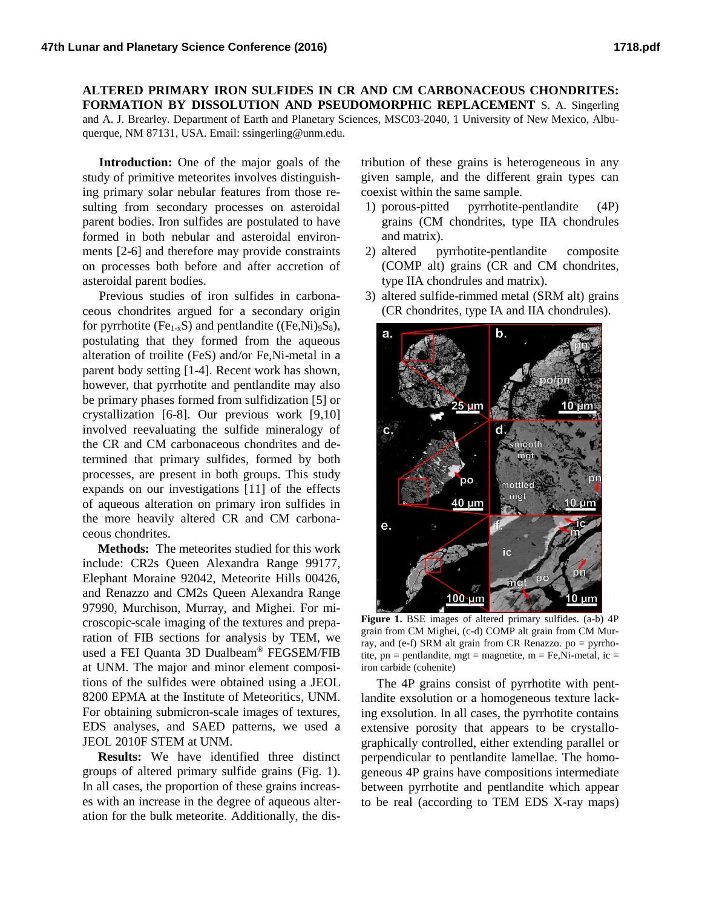## **ALTERED PRIMARY IRON SULFIDES IN CR AND CM CARBONACEOUS CHONDRITES: FORMATION BY DISSOLUTION AND PSEUDOMORPHIC REPLACEMENT** S. A. Singerling and A. J. Brearley. Department of Earth and Planetary Sciences, MSC03-2040, 1 University of New Mexico, Albuquerque, NM 87131, USA. Email: ssingerling@unm.edu.

**Introduction:** One of the major goals of the study of primitive meteorites involves distinguishing primary solar nebular features from those resulting from secondary processes on asteroidal parent bodies. Iron sulfides are postulated to have formed in both nebular and asteroidal environments [2-6] and therefore may provide constraints on processes both before and after accretion of asteroidal parent bodies.

Previous studies of iron sulfides in carbonaceous chondrites argued for a secondary origin for pyrrhotite (Fe<sub>1-x</sub>S) and pentlandite ((Fe,Ni)<sub>9</sub>S<sub>8</sub>), postulating that they formed from the aqueous alteration of troilite (FeS) and/or Fe,Ni-metal in a parent body setting [1-4]. Recent work has shown, however, that pyrrhotite and pentlandite may also be primary phases formed from sulfidization [5] or crystallization [6-8]. Our previous work [9,10] involved reevaluating the sulfide mineralogy of the CR and CM carbonaceous chondrites and determined that primary sulfides, formed by both processes, are present in both groups. This study expands on our investigations [11] of the effects of aqueous alteration on primary iron sulfides in the more heavily altered CR and CM carbonaceous chondrites.

**Methods:** The meteorites studied for this work include: CR2s Queen Alexandra Range 99177, Elephant Moraine 92042, Meteorite Hills 00426, and Renazzo and CM2s Queen Alexandra Range 97990, Murchison, Murray, and Mighei. For microscopic-scale imaging of the textures and preparation of FIB sections for analysis by TEM, we used a FEI Quanta 3D Dualbeam® FEGSEM/FIB at UNM. The major and minor element compositions of the sulfides were obtained using a JEOL 8200 EPMA at the Institute of Meteoritics, UNM. For obtaining submicron-scale images of textures, EDS analyses, and SAED patterns, we used a JEOL 2010F STEM at UNM.

**Results:** We have identified three distinct groups of altered primary sulfide grains (Fig. 1). In all cases, the proportion of these grains increases with an increase in the degree of aqueous alteration for the bulk meteorite. Additionally, the distribution of these grains is heterogeneous in any given sample, and the different grain types can coexist within the same sample.

- 1) porous-pitted pyrrhotite-pentlandite (4P) grains (CM chondrites, type IIA chondrules and matrix).
- 2) altered pyrrhotite-pentlandite composite (COMP alt) grains (CR and CM chondrites, type IIA chondrules and matrix).
- 3) altered sulfide-rimmed metal (SRM alt) grains (CR chondrites, type IA and IIA chondrules).



**Figure 1.** BSE images of altered primary sulfides. (a-b) 4P grain from CM Mighei, (c-d) COMP alt grain from CM Murray, and (e-f) SRM alt grain from CR Renazzo. po = pyrrhotite,  $pn = pentlandite$ ,  $mgt = magnetic$ ,  $m = Fe$ , Ni-metal, ic = iron carbide (cohenite)

The 4P grains consist of pyrrhotite with pentlandite exsolution or a homogeneous texture lacking exsolution. In all cases, the pyrrhotite contains extensive porosity that appears to be crystallographically controlled, either extending parallel or perpendicular to pentlandite lamellae. The homogeneous 4P grains have compositions intermediate between pyrrhotite and pentlandite which appear to be real (according to TEM EDS X-ray maps)